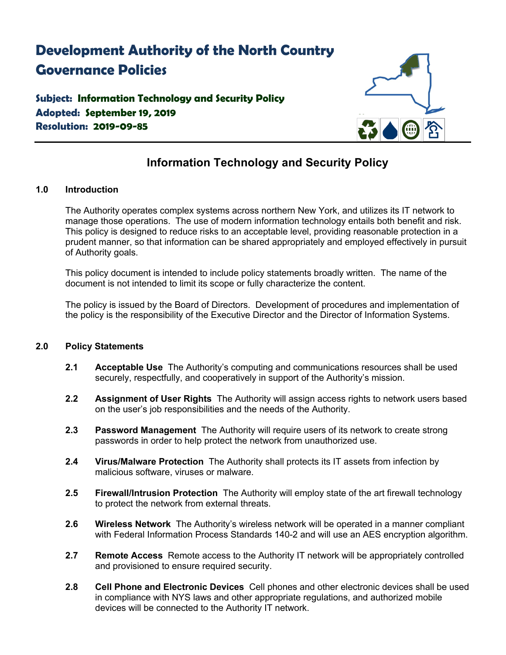# **Development Authority of the North Country Governance Policies**

### **Subject: Information Technology and Security Policy Adopted: September 19, 2019 Resolution: 2019-09-85**



## **Information Technology and Security Policy**

### **1.0 Introduction**

The Authority operates complex systems across northern New York, and utilizes its IT network to manage those operations. The use of modern information technology entails both benefit and risk. This policy is designed to reduce risks to an acceptable level, providing reasonable protection in a prudent manner, so that information can be shared appropriately and employed effectively in pursuit of Authority goals.

This policy document is intended to include policy statements broadly written. The name of the document is not intended to limit its scope or fully characterize the content.

The policy is issued by the Board of Directors. Development of procedures and implementation of the policy is the responsibility of the Executive Director and the Director of Information Systems.

#### **2.0 Policy Statements**

- **2.1 Acceptable Use** The Authority's computing and communications resources shall be used securely, respectfully, and cooperatively in support of the Authority's mission.
- **2.2 Assignment of User Rights** The Authority will assign access rights to network users based on the user's job responsibilities and the needs of the Authority.
- **2.3 Password Management** The Authority will require users of its network to create strong passwords in order to help protect the network from unauthorized use.
- **2.4 Virus/Malware Protection** The Authority shall protects its IT assets from infection by malicious software, viruses or malware.
- **2.5 Firewall/Intrusion Protection** The Authority will employ state of the art firewall technology to protect the network from external threats.
- **2.6 Wireless Network** The Authority's wireless network will be operated in a manner compliant with Federal Information Process Standards 140-2 and will use an AES encryption algorithm.
- **2.7 Remote Access** Remote access to the Authority IT network will be appropriately controlled and provisioned to ensure required security.
- **2.8 Cell Phone and Electronic Devices** Cell phones and other electronic devices shall be used in compliance with NYS laws and other appropriate regulations, and authorized mobile devices will be connected to the Authority IT network.